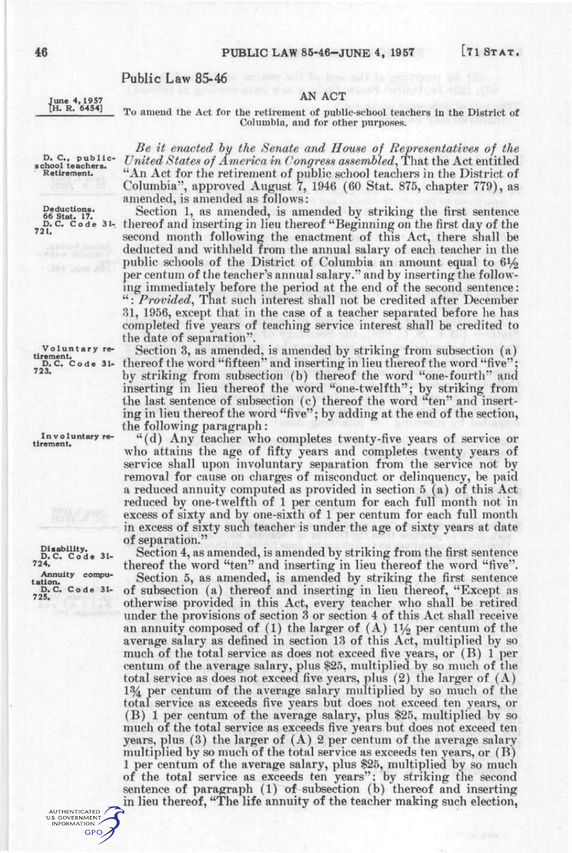#### **Public Law 85-46**

**June 4,1957 [H. R. 6454]** 

AN ACT To amend the Act for the retirement of public-school teachers in the District of Columbia, and for other purposes.

**D. C , public - school teachers. Retirement.** 

**Deductions. 66 Stat. 17. D. C. Cod e 31- 721.** 

**Voluntar y retirement.**<br> **D.C.** Code 31-<br> **723.** 

Involuntary re**tirements** 

**Disability.**<br> **D. C.** Code 31-<br> **724. Annuity computation.**<br> **D. C.** Code 31-**725.** 

> AUTHENTICATED U.S. GOVERNMENT **GPO**

*Be it enacted hy the Senate and House of Representatives of the United States of America in Congress assembled^* That the Act entitled "An Act for the retirement of public school teachers in the District of Columbia", approved August 7, 1946 (60 Stat. 875, chapter 779), as

amended, is amended as follows: Section 1, as amended, is amended by striking the first sentence thereof and inserting in lieu thereof "Beginning on the first day of the second month following the enactment of this Act, there shall be deducted and withheld from the annual salary of each teacher in the public schools of the District of Columbia an amount equal to  $6\frac{1}{2}$ per centum of the teacher's annual salary." and by inserting the following immediately before the period at the end of the second sentence: ": Provided, That such interest shall not be credited after December 81, 1956, except that in the case of a teacher separated before he has completed five years of teaching service interest shall be credited to the date of separation".

Section 3, as amended, is amended by striking from subsection (a) thereof the word "fifteen" and inserting in lieu thereof the word "five"; by striking from subsection (b) thereof the word "one-fourth" and inserting in lieu thereof the word "one-twelfth"; by striking from the last sentence of subsection (c) thereof the word "ten" and inserting in lieu thereof the word "five"; by adding at the end of the section, the following paragraph:

"(d) Any teacher who completes twenty-five years of service or who attains the age of fifty years and completes twenty years of service shall upon involuntary separation from the service not by removal for cause on charges of misconduct or delinquency, be paid a reduced annuity computed as provided in section 5 (a) of this Act reduced by one-twelfth of 1 per centum for each full month not in excess of sixty and by one-sixth of 1 per centum for each full month in excess of sixty such teacher is under the age of sixty years at date of separation."

Section 4, as amended, is amended by striking from the first sentence thereof the word "ten" and inserting in lieu thereof the word "five".

Section 5, as amended, is amended by striking the first sentence of subsection (a) thereof and inserting in lieu thereof, "Except as otherwise provided in this Act, every teacher who shall be retired under the provisions of section 3 or section 4 of this Act shall receive an annuity composed of (1) the larger of  $(A)$  11/2 per centum of the average salary as defined in section 13 of this Act, multiplied by so much of the total service as does not exceed five years, or (B) 1 per centum of the average salary, plus \$25, multiplied by so much of the total service as does not exceed five years, plus (2) the larger of (A) 1% per centum of the average salary multiplied by so much of the total service as exceeds five years but does not exceed ten years, or (B) 1 per centum of the average salary, plus \$25, multiplied by so much of the total service as exceeds five years but does not exceed ten years, plus  $(3)$  the larger of  $(A)$  2 per centum of the average salary multiplied by so much of the total service as exceeds ten years, or (B) 1 per centum of the average salary, plus \$25, multiplied by so much of the total service as exceeds ten years"; by striking the second sentence of paragraph (1) of subsection (b) thereof and inserting in lieu thereof, "The life annuity of the teacher making such election,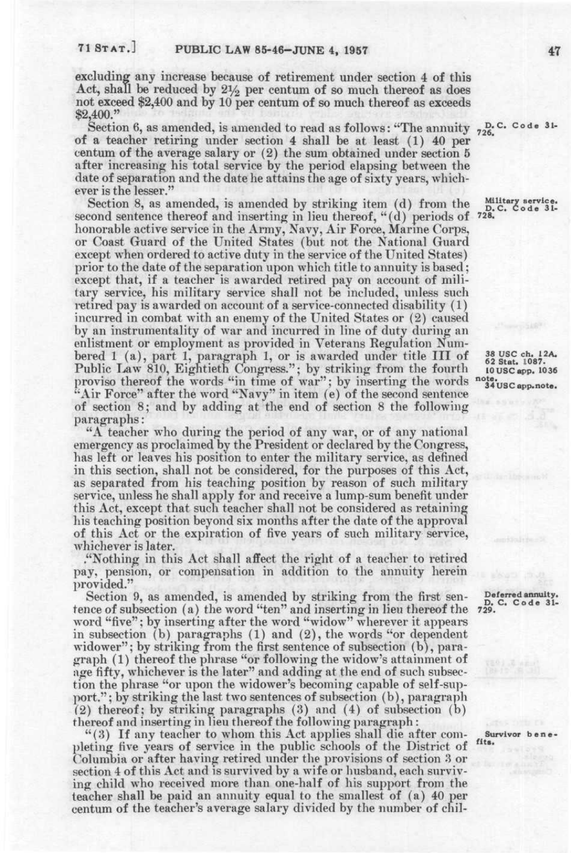excluding any increase because of retirement under section 4 of this Act, shall be reduced by  $2\frac{1}{2}$  per centum of so much thereof as does not exceed \$2,400 and by 10 per centum of so much thereof as exceeds \$2,400."

Section 6, as amended, is amended to read as follows: "The annuity  $\frac{D}{726}$ . Code 31of a teacher retiring under section 4 shall be at least (1) 40 per centum of the average salary or (2) the sum obtained under section 5 after increasing his total service by the period elapsing between the date of separation and the date he attains the age of sixty years, whichever is the lesser."

Section 8, as amended, is amended by striking item (d) from the second sentence thereof and inserting in lieu thereof, "(d) periods of honorable active service in the Army, Navy, Air Force, Marme Corps, or Coast Guard of the United States (but not the National Guard except when ordered to active duty in the service of the United States) prior to the date of the separation upon which title to annuity is based; except that, if a teacher is awarded retired pay on account of military service, his military service shall not be included, unless such retired pay is awarded on account of a service-connected disability (1) incurred in combat with an enemy of the United States or (2) caused by an instrumentality of war and incurred in line of duty during an enlistment or employment as provided in Veterans Regulation Numbered 1 (a), part 1, paragraph 1, or is awarded under title III of Public Law 810, Eightieth Congress.": by striking from the fourth proviso thereof the words "in time of war"; by inserting the words "Air Force" after the word "Navy" in item (e) of the second sentence of section 8; and by adding at the end of section 8 the following paragraphs:

"A teacher who during the period of any war, or of any national emergency as proclaimed by the President or declared by the Congress, has left or leaves his position to enter the military service, as defined in this section, shall not be considered, for the purposes of this  $Act$ , as separated from his teaching position by reason of such military service, unless he shall apply for and receive a lump-sum benefit under this Act, except that such teacher shall not be considered as retaining his teaching position beyond six months after the date of the approval of this Act or the expiration of five years of such military service, whichever is later.

."Nothing in this Act shall affect the right of a teacher to retired pay, pension, or compensation in addition to the annuity herein provided."

Section 9, as amended, is amended by striking from the first sentence of subsection (a) the word "ten" and inserting in lieu thereof the word "five"; by inserting after the word "widow" wherever it appears in subsection (b) paragraphs (1) and (2), the words "or dependent widower"; by striking from the first sentence of subsection (b), paragraph (1) thereof the phrase "or following the widow's attainment of age fifty, whichever is the later" and adding at the end of such subsection the phrase "or upon the widower's becoming capable of self-support." ; by striking the last two sentences of subsection (b), paragraph (2) thereof; by striking paragraphs (3) and (4) of subsection (b) thereof and inserting in lieu thereof the following paragraph:

"(3) If any teacher to whom this Act applies shall die after completing five years of service in the public schools of the District of Columbia or after having retired under the provisions of section 3 or section 4 of this Act and is survived by a wife or husband, each surviving child who received more than one-half of his support from the teacher shall be paid an annuity equal to the smallest of (a) 40 per centum of the teacher's average salary divided by the number of chil-

**D. C. Code 31-**<br>728.

38 USC ch. 12A.<br>62 Stat. 1087. **62 Stat. 1087. lOUSCapp. 1036 note. 34 us e app. note.** 

Deferred annuity.<br> **D. C.** Code 31-<br> **729.** 

**Survivor b e n e • fits.**